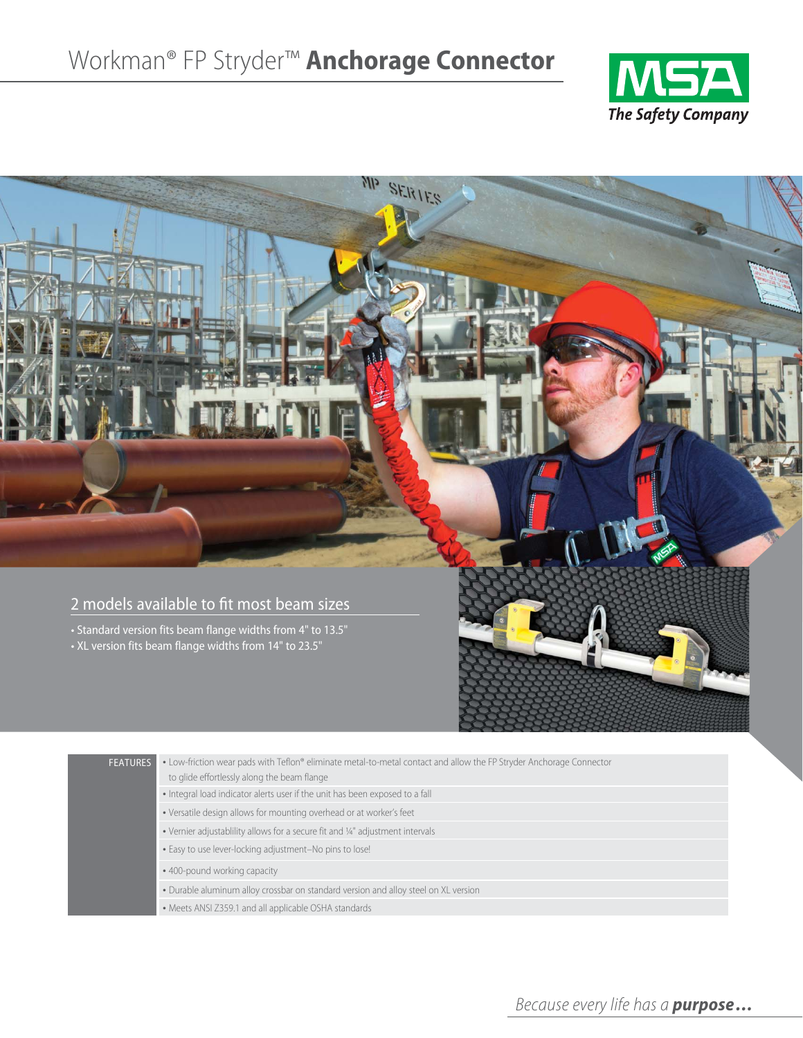



| <b>FEATURES</b> | . Low-friction wear pads with Teflon® eliminate metal-to-metal contact and allow the FP Stryder Anchorage Connector<br>to glide effortlessly along the beam flange |
|-----------------|--------------------------------------------------------------------------------------------------------------------------------------------------------------------|
|                 | • Integral load indicator alerts user if the unit has been exposed to a fall                                                                                       |
|                 | . Versatile design allows for mounting overhead or at worker's feet                                                                                                |
|                 | . Vernier adjustablility allows for a secure fit and 1/4" adjustment intervals                                                                                     |
|                 | . Easy to use lever-locking adjustment-No pins to lose!                                                                                                            |
|                 | • 400-pound working capacity                                                                                                                                       |
|                 | . Durable aluminum alloy crossbar on standard version and alloy steel on XL version                                                                                |
|                 | • Meets ANSI Z359.1 and all applicable OSHA standards                                                                                                              |
|                 |                                                                                                                                                                    |

*Because every life has a purpose...*